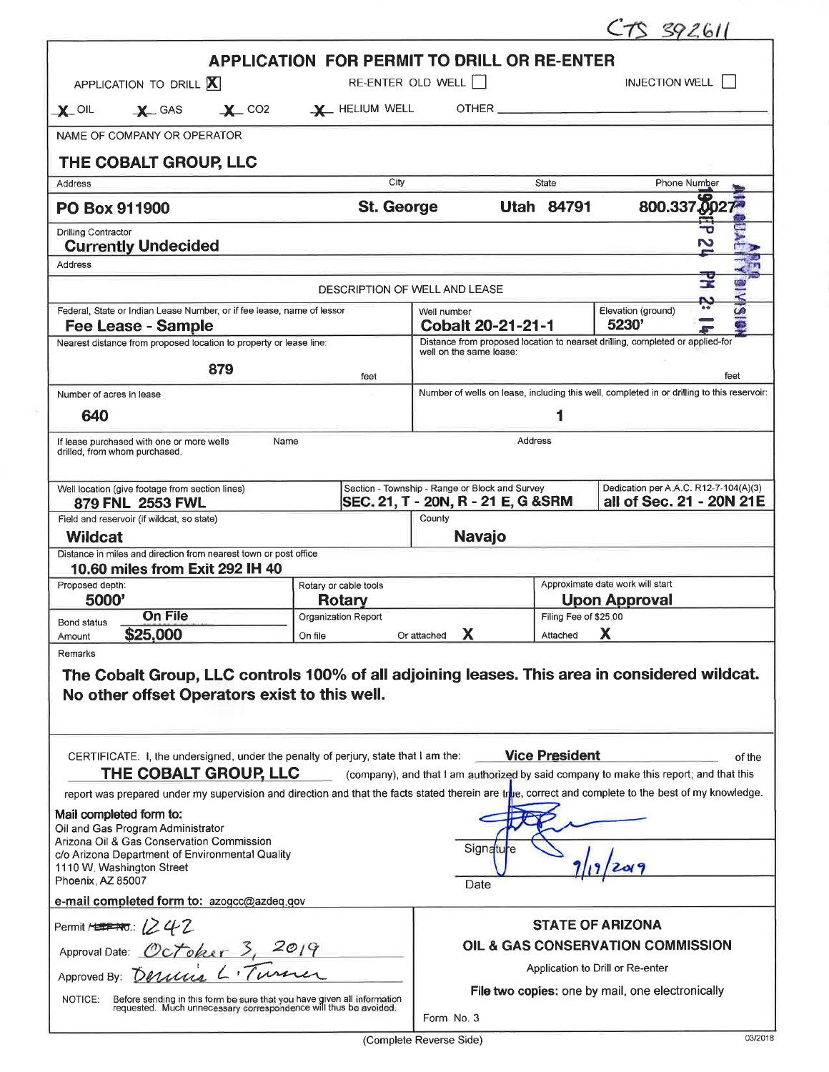|                                                                                                                                                        |                                                                        |                                                                                                          |                       | $CTS$ 392611                                                      |        |  |  |  |
|--------------------------------------------------------------------------------------------------------------------------------------------------------|------------------------------------------------------------------------|----------------------------------------------------------------------------------------------------------|-----------------------|-------------------------------------------------------------------|--------|--|--|--|
|                                                                                                                                                        |                                                                        | <b>APPLICATION FOR PERMIT TO DRILL OR RE-ENTER</b>                                                       |                       |                                                                   |        |  |  |  |
| APPLICATION TO DRILL X                                                                                                                                 | RE-ENTER OLD WELL                                                      |                                                                                                          |                       | <b>INJECTION WELL</b>                                             |        |  |  |  |
| $\chi$ GAS $\chi$ CO2 $\chi$ Helium well<br>$\mathbf{X}$ oil                                                                                           |                                                                        |                                                                                                          |                       |                                                                   |        |  |  |  |
| NAME OF COMPANY OR OPERATOR                                                                                                                            |                                                                        |                                                                                                          |                       |                                                                   |        |  |  |  |
| THE COBALT GROUP, LLC                                                                                                                                  | City                                                                   |                                                                                                          |                       |                                                                   |        |  |  |  |
| Address                                                                                                                                                |                                                                        | State                                                                                                    |                       | Phone Number                                                      |        |  |  |  |
| PO Box 911900                                                                                                                                          | <b>St. George</b>                                                      |                                                                                                          | <b>Utah 84791</b>     | 800.337.002                                                       |        |  |  |  |
| <b>Drilling Contractor</b><br><b>Currently Undecided</b>                                                                                               |                                                                        |                                                                                                          |                       |                                                                   |        |  |  |  |
| Address                                                                                                                                                |                                                                        |                                                                                                          |                       |                                                                   |        |  |  |  |
|                                                                                                                                                        | DESCRIPTION OF WELL AND LEASE                                          |                                                                                                          |                       |                                                                   |        |  |  |  |
| Fee Lease - Sample                                                                                                                                     | Federal, State or Indian Lease Number, or if fee lease, name of lessor |                                                                                                          |                       | Elevation (ground)<br>5230'                                       |        |  |  |  |
| Nearest distance from proposed location to property or lease line:                                                                                     |                                                                        | Distance from proposed location to nearset drilling, completed or applied-for<br>well on the same lease: |                       |                                                                   |        |  |  |  |
| 879                                                                                                                                                    | feet                                                                   |                                                                                                          |                       |                                                                   | feet   |  |  |  |
| Number of acres in lease                                                                                                                               |                                                                        | Number of wells on lease, including this well, completed in or drilling to this reservoir:               |                       |                                                                   |        |  |  |  |
| 640                                                                                                                                                    |                                                                        |                                                                                                          | 1                     |                                                                   |        |  |  |  |
| Address<br>If lease purchased with one or more wells<br>Name<br>drilled, from whom purchased.                                                          |                                                                        |                                                                                                          |                       |                                                                   |        |  |  |  |
| Well location (give footage from section lines)<br>879 FNL 2553 FWL                                                                                    |                                                                        | Section - Township - Range or Block and Survey<br>SEC. 21, T - 20N, R - 21 E, G & SRM                    |                       | Dedication per A.A.C. R12-7-104(A)(3)<br>all of Sec. 21 - 20N 21E |        |  |  |  |
| Field and reservoir (if wildcat, so state)                                                                                                             |                                                                        | County                                                                                                   |                       |                                                                   |        |  |  |  |
| <b>Wildcat</b><br>Distance in miles and direction from nearest town or post office                                                                     |                                                                        | <b>Navajo</b>                                                                                            |                       |                                                                   |        |  |  |  |
| 10.60 miles from Exit 292 IH 40                                                                                                                        |                                                                        |                                                                                                          |                       |                                                                   |        |  |  |  |
| Proposed depth:<br>5000'                                                                                                                               | Rotary or cable tools<br>Rotary                                        | Approximate date work will start<br><b>Upon Approval</b>                                                 |                       |                                                                   |        |  |  |  |
| <b>On File</b><br><b>Bond status</b>                                                                                                                   | Organization Report                                                    |                                                                                                          | Filing Fee of \$25.00 |                                                                   |        |  |  |  |
| \$25,000<br>Amount                                                                                                                                     | On file                                                                | х<br>Or attached                                                                                         | Attached              | Х                                                                 |        |  |  |  |
| Remarks                                                                                                                                                |                                                                        |                                                                                                          |                       |                                                                   |        |  |  |  |
| The Cobalt Group, LLC controls 100% of all adjoining leases. This area in considered wildcat.<br>No other offset Operators exist to this well.         |                                                                        |                                                                                                          |                       |                                                                   |        |  |  |  |
| CERTIFICATE: I, the undersigned, under the penalty of perjury, state that I am the:<br>THE COBALT GROUP, LLC                                           |                                                                        | (company), and that I am authorized by said company to make this report; and that this                   | <b>Vice President</b> |                                                                   | of the |  |  |  |
| report was prepared under my supervision and direction and that the facts stated therein are true, correct and complete to the best of my knowledge.   |                                                                        |                                                                                                          |                       |                                                                   |        |  |  |  |
| Mail completed form to:<br>Oil and Gas Program Administrator                                                                                           |                                                                        |                                                                                                          |                       |                                                                   |        |  |  |  |
| Arizona Oil & Gas Conservation Commission<br>c/o Arizona Department of Environmental Quality                                                           |                                                                        | Signatu<br>re                                                                                            |                       |                                                                   |        |  |  |  |
| 1110 W. Washington Street<br>Phoenix, AZ 85007                                                                                                         |                                                                        | Date                                                                                                     |                       |                                                                   |        |  |  |  |
| e-mail completed form to: azogcc@azdeq.gov                                                                                                             |                                                                        |                                                                                                          |                       |                                                                   |        |  |  |  |
| Permit $H$ $\rightarrow$ $\rightarrow$ $\rightarrow$ $\rightarrow$ $\rightarrow$ $\rightarrow$ $\rightarrow$                                           |                                                                        |                                                                                                          |                       | <b>STATE OF ARIZONA</b>                                           |        |  |  |  |
| Approval Date: October <sub>)</sub>                                                                                                                    | OIL & GAS CONSERVATION COMMISSION                                      |                                                                                                          |                       |                                                                   |        |  |  |  |
| Approved By: Derivis L. Turn                                                                                                                           |                                                                        |                                                                                                          |                       | Application to Drill or Re-enter                                  |        |  |  |  |
| Before sending in this form be sure that you have given all information<br>requested. Much unnecessary correspondence will thus be avoided.<br>NOTICE: |                                                                        | File two copies: one by mail, one electronically<br>Form No. 3                                           |                       |                                                                   |        |  |  |  |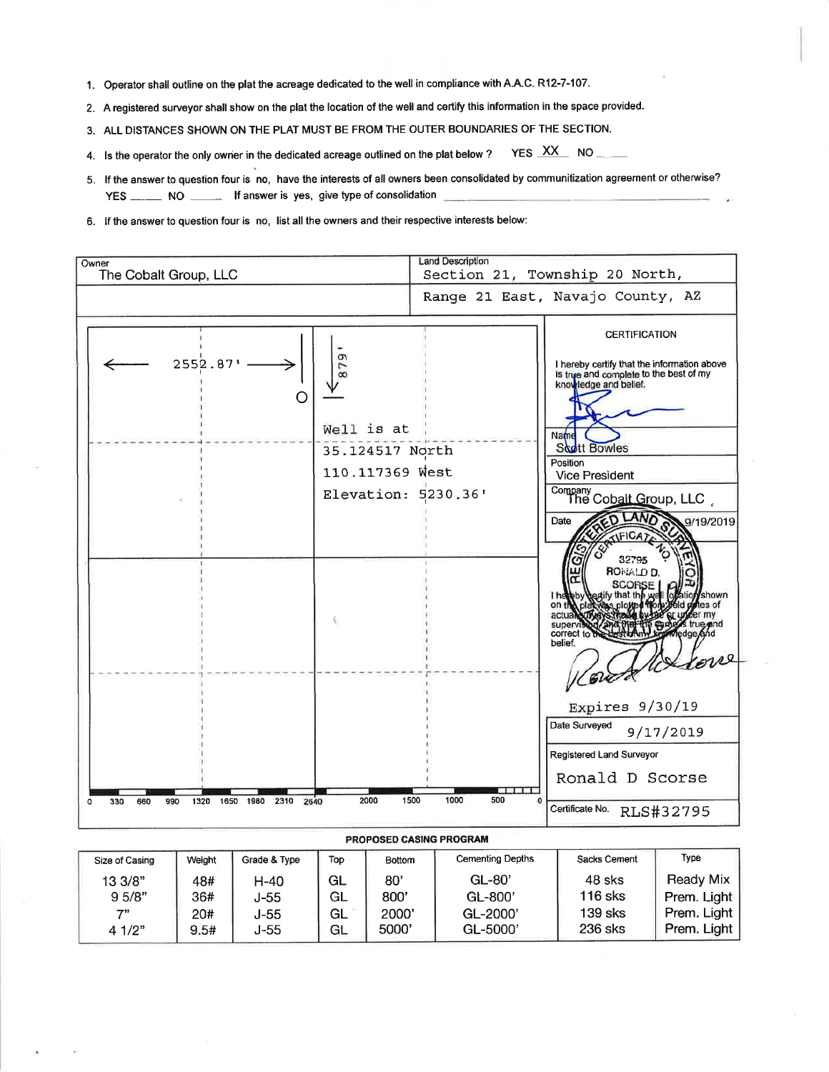- 1. Operator shall outline on the plat the acreage dedicated to the well in compliance with A.A.C. R12-7-107.
- 2. A registered surveyor shall show on the plat the location of the well and certify this information in the space provided.
- 3. ALL DISTANCES SHOWN ON THE PLAT MUST BE FROM THE OUTER BOUNDARIES OF THE SECTION.
- 4. Is the operator the only owner in the dedicated acreage outlined on the plat below ? YES XX NO
- 5. If the answer to question four is no, have the interests of all owners been consolidated by communitization agreement or otherwise? YES \_\_\_\_\_\_\_ NO \_\_\_\_\_\_\_ If answer is yes, give type of consolidation
- 6. If the answer to question four is no, list all the owners and their respective interests below:

| Owner<br>The Cobalt Group, LLC                        | Land Description<br>Section 21, Township 20 North,                                                                                                                                                                                                                                                                                                                                                        |
|-------------------------------------------------------|-----------------------------------------------------------------------------------------------------------------------------------------------------------------------------------------------------------------------------------------------------------------------------------------------------------------------------------------------------------------------------------------------------------|
|                                                       | Range 21 East, Navajo County, AZ                                                                                                                                                                                                                                                                                                                                                                          |
| $2552.87'$ —                                          | <b>CERTIFICATION</b><br>879<br>I hereby certify that the information above<br>is true and complete to the best of my<br>knowledge and belief.<br>Well is at<br>Name<br><b>Scott Bowles</b><br>35.124517 North<br>Position<br>110.117369 West<br><b>Vice President</b><br>Company<br>The Cobalt Group, LLC<br>Elevation: 5230.36'<br>D LAND<br>9/19/2019<br>Date<br><b>ATIFICATE</b><br>32795<br>RONALD D. |
|                                                       | <b>SCORSE</b><br>lotation shown<br>textify that the well<br>I het<br>on the plat was ploye<br>actual<br>true and<br>superv<br>edge And<br>correct to<br>belief.<br>rove<br>Expires $9/30/19$<br>Date Surveyed<br>9/17/2019<br>Registered Land Surveyor<br>Ronald D Scorse<br><b>PERSONAL PROPERTY</b>                                                                                                     |
| 1650 1980 2310 2640<br>330<br>660<br>990<br>1320<br>a | 1500<br>1000<br>500<br>2000<br>Certificate No. RLS#32795                                                                                                                                                                                                                                                                                                                                                  |

## PROPOSED CASING PROGRAM

| Size of Casing | Weight | Grade & Type | Top | Bottom | <b>Cementing Depths</b> | Sacks Cement | Type             |
|----------------|--------|--------------|-----|--------|-------------------------|--------------|------------------|
| 13 3/8"        | 48#    | H-40         | GL  | 80'    | $GL-80'$                | 48 sks       | <b>Ready Mix</b> |
| 95/8"          | 36#    | J-55         | GL  | 800'   | $GL-800'$               | 116 sks      | Prem. Light      |
| 7"             | 20#    | J-55         | GL  | 2000'  | GL-2000'                | 139 sks      | Prem. Light      |
| 4 1/2"         | 9.5#   | J-55         | GL  | 5000'  | $GL-5000'$              | 236 sks      | Prem. Light      |